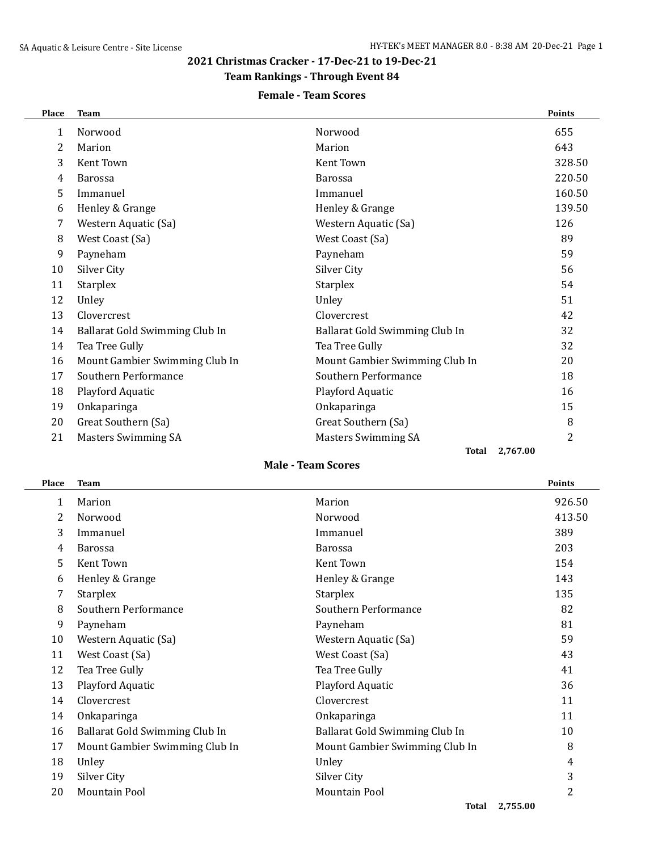## **2021 Christmas Cracker - 17-Dec-21 to 19-Dec-21**

# **Team Rankings - Through Event 84**

### **Female - Team Scores**

| Place | <b>Team</b>                    |                                | <b>Points</b> |
|-------|--------------------------------|--------------------------------|---------------|
| 1     | Norwood                        | Norwood                        | 655           |
| 2     | Marion                         | Marion                         | 643           |
| 3     | Kent Town                      | Kent Town                      | 328.50        |
| 4     | <b>Barossa</b>                 | <b>Barossa</b>                 | 220.50        |
| 5     | Immanuel                       | Immanuel                       | 160.50        |
| 6     | Henley & Grange                | Henley & Grange                | 139.50        |
| 7     | Western Aquatic (Sa)           | Western Aquatic (Sa)           | 126           |
| 8     | West Coast (Sa)                | West Coast (Sa)                | 89            |
| 9     | Payneham                       | Payneham                       | 59            |
| 10    | Silver City                    | Silver City                    | 56            |
| 11    | Starplex                       | Starplex                       | 54            |
| 12    | Unley                          | Unley                          | 51            |
| 13    | Clovercrest                    | Clovercrest                    | 42            |
| 14    | Ballarat Gold Swimming Club In | Ballarat Gold Swimming Club In | 32            |
| 14    | Tea Tree Gully                 | Tea Tree Gully                 | 32            |
| 16    | Mount Gambier Swimming Club In | Mount Gambier Swimming Club In | 20            |
| 17    | Southern Performance           | Southern Performance           | 18            |
| 18    | Playford Aquatic               | Playford Aquatic               | 16            |
| 19    | Onkaparinga                    | Onkaparinga                    | 15            |
| 20    | Great Southern (Sa)            | Great Southern (Sa)            | 8             |
| 21    | <b>Masters Swimming SA</b>     | <b>Masters Swimming SA</b>     | 2             |

#### **Total 2,767.00**

### **Male - Team Scores**

| Place | <b>Team</b>                    |                                | <b>Points</b> |
|-------|--------------------------------|--------------------------------|---------------|
| 1     | Marion                         | Marion                         | 926.50        |
| 2     | Norwood                        | Norwood                        | 413.50        |
| 3     | Immanuel                       | Immanuel                       | 389           |
| 4     | <b>Barossa</b>                 | <b>Barossa</b>                 | 203           |
| 5     | Kent Town                      | Kent Town                      | 154           |
| 6     | Henley & Grange                | Henley & Grange                | 143           |
| 7     | <b>Starplex</b>                | <b>Starplex</b>                | 135           |
| 8     | Southern Performance           | Southern Performance           | 82            |
| 9     | Payneham                       | Payneham                       | 81            |
| 10    | Western Aquatic (Sa)           | Western Aquatic (Sa)           | 59            |
| 11    | West Coast (Sa)                | West Coast (Sa)                | 43            |
| 12    | Tea Tree Gully                 | Tea Tree Gully                 | 41            |
| 13    | Playford Aquatic               | Playford Aquatic               | 36            |
| 14    | Clovercrest                    | Clovercrest                    | 11            |
| 14    | Onkaparinga                    | Onkaparinga                    | 11            |
| 16    | Ballarat Gold Swimming Club In | Ballarat Gold Swimming Club In | 10            |
| 17    | Mount Gambier Swimming Club In | Mount Gambier Swimming Club In | 8             |
| 18    | Unley                          | Unley                          | 4             |
| 19    | Silver City                    | Silver City                    | 3             |
| 20    | <b>Mountain Pool</b>           | <b>Mountain Pool</b>           | 2             |
|       |                                |                                |               |